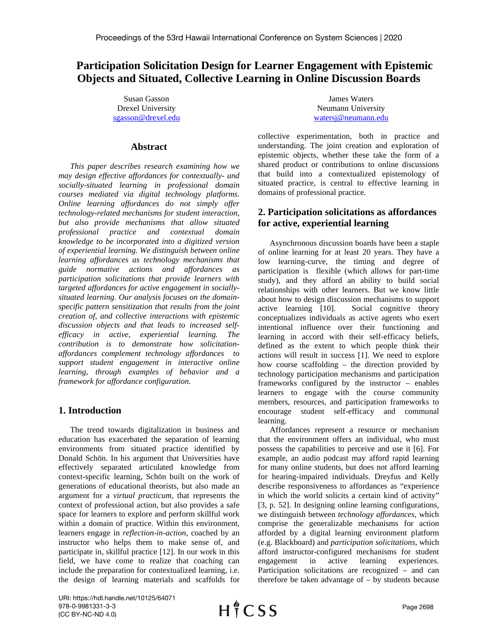# **Participation Solicitation Design for Learner Engagement with Epistemic Objects and Situated, Collective Learning in Online Discussion Boards**

Susan Gasson Drexel University [sgasson@drexel.edu](mailto:sgasson@drexel.edu)

## **Abstract**

*This paper describes research examining how we may design effective affordances for contextually- and socially-situated learning in professional domain courses mediated via digital technology platforms. Online learning affordances do not simply offer technology-related mechanisms for student interaction, but also provide mechanisms that allow situated professional practice and contextual domain knowledge to be incorporated into a digitized version of experiential learning. We distinguish between online learning affordances as technology mechanisms that guide normative actions and affordances as participation solicitations that provide learners with targeted affordances for active engagement in sociallysituated learning. Our analysis focuses on the domainspecific pattern sensitization that results from the joint creation of, and collective interactions with epistemic discussion objects and that leads to increased selfefficacy in active, experiential learning. The contribution is to demonstrate how solicitationaffordances complement technology affordances to support student engagement in interactive online learning, through examples of behavior and a framework for affordance configuration.*

## **1. Introduction**

The trend towards digitalization in business and education has exacerbated the separation of learning environments from situated practice identified by Donald Schön. In his argument that Universities have effectively separated articulated knowledge from context-specific learning, Schön built on the work of generations of educational theorists, but also made an argument for a *virtual practicum*, that represents the context of professional action, but also provides a safe space for learners to explore and perform skillful work within a domain of practice. Within this environment, learners engage in *reflection-in-action*, coached by an instructor who helps them to make sense of, and participate in, skillful practice [12]. In our work in this field, we have come to realize that coaching can include the preparation for contextualized learning, i.e. the design of learning materials and scaffolds for

James Waters Neumann University [watersj@neumann.edu](mailto:watersj@neumann.edu)

collective experimentation, both in practice and understanding. The joint creation and exploration of epistemic objects, whether these take the form of a shared product or contributions to online discussions that build into a contextualized epistemology of situated practice, is central to effective learning in domains of professional practice.

## **2. Participation solicitations as affordances for active, experiential learning**

Asynchronous discussion boards have been a staple of online learning for at least 20 years. They have a low learning-curve, the timing and degree of participation is flexible (which allows for part-time study), and they afford an ability to build social relationships with other learners. But we know little about how to design discussion mechanisms to support active learning [10]. Social cognitive theory conceptualizes individuals as active agents who exert intentional influence over their functioning and learning in accord with their self-efficacy beliefs, defined as the extent to which people think their actions will result in success [1]. We need to explore how course scaffolding – the direction provided by technology participation mechanisms and participation frameworks configured by the instructor – enables learners to engage with the course community members, resources, and participation frameworks to encourage student self-efficacy and communal learning.

Affordances represent a resource or mechanism that the environment offers an individual, who must possess the capabilities to perceive and use it [6]. For example, an audio podcast may afford rapid learning for many online students, but does not afford learning for hearing-impaired individuals. Dreyfus and Kelly describe responsiveness to affordances as "experience in which the world solicits a certain kind of activity" [3, p. 52]. In designing online learning configurations, we distinguish between *technology affordances*, which comprise the generalizable mechanisms for action afforded by a digital learning environment platform (e.g. Blackboard) and *participation solicitations*, which afford instructor-configured mechanisms for student engagement in active learning experiences. Participation solicitations are recognized – and can therefore be taken advantage of – by students because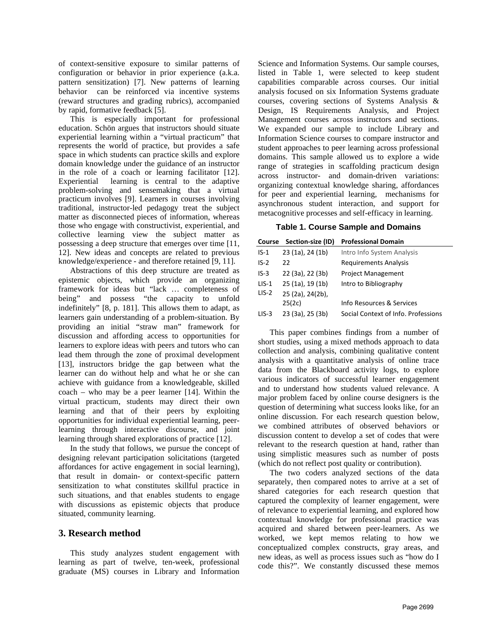of context-sensitive exposure to similar patterns of configuration or behavior in prior experience (a.k.a. pattern sensitization) [7]. New patterns of learning behavior can be reinforced via incentive systems (reward structures and grading rubrics), accompanied by rapid, formative feedback [5].

This is especially important for professional education. Schön argues that instructors should situate experiential learning within a "virtual practicum" that represents the world of practice, but provides a safe space in which students can practice skills and explore domain knowledge under the guidance of an instructor in the role of a coach or learning facilitator [12]. Experiential learning is central to the adaptive problem-solving and sensemaking that a virtual practicum involves [9]. Learners in courses involving traditional, instructor-led pedagogy treat the subject matter as disconnected pieces of information, whereas those who engage with constructivist, experiential, and collective learning view the subject matter as possessing a deep structure that emerges over time [11, 12]. New ideas and concepts are related to previous knowledge/experience - and therefore retained [9, 11].

Abstractions of this deep structure are treated as epistemic objects, which provide an organizing framework for ideas but "lack … completeness of being" and possess "the capacity to unfold indefinitely" [8, p. 181]. This allows them to adapt, as learners gain understanding of a problem-situation. By providing an initial "straw man" framework for discussion and affording access to opportunities for learners to explore ideas with peers and tutors who can lead them through the zone of proximal development [13], instructors bridge the gap between what the learner can do without help and what he or she can achieve with guidance from a knowledgeable, skilled coach – who may be a peer learner [14]. Within the virtual practicum, students may direct their own learning and that of their peers by exploiting opportunities for individual experiential learning, peerlearning through interactive discourse, and joint learning through shared explorations of practice [12].

In the study that follows, we pursue the concept of designing relevant participation solicitations (targeted affordances for active engagement in social learning), that result in domain- or context-specific pattern sensitization to what constitutes skillful practice in such situations, and that enables students to engage with discussions as epistemic objects that produce situated, community learning.

## **3. Research method**

This study analyzes student engagement with learning as part of twelve, ten-week, professional graduate (MS) courses in Library and Information Science and Information Systems. Our sample courses, listed in Table 1, were selected to keep student capabilities comparable across courses. Our initial analysis focused on six Information Systems graduate courses, covering sections of Systems Analysis & Design, IS Requirements Analysis, and Project Management courses across instructors and sections. We expanded our sample to include Library and Information Science courses to compare instructor and student approaches to peer learning across professional domains. This sample allowed us to explore a wide range of strategies in scaffolding practicum design across instructor- and domain-driven variations: organizing contextual knowledge sharing, affordances for peer and experiential learning, mechanisms for asynchronous student interaction, and support for metacognitive processes and self-efficacy in learning.

#### **Table 1. Course Sample and Domains**

|  |  | Course Section-size (ID) Professional Domain |
|--|--|----------------------------------------------|
|--|--|----------------------------------------------|

| $IS-1$  | 23 (1a), 24 (1b) | Intro Info System Analysis          |
|---------|------------------|-------------------------------------|
| $IS-2$  | 22               | <b>Requirements Analysis</b>        |
| $IS-3$  | 22 (3a), 22 (3b) | <b>Project Management</b>           |
| $LIS-1$ | 25 (1a), 19 (1b) | Intro to Bibliography               |
| $LIS-2$ | 25 (2a), 24(2b), |                                     |
|         | 25(2c)           | Info Resources & Services           |
| $LIS-3$ | 23 (3a), 25 (3b) | Social Context of Info. Professions |

This paper combines findings from a number of short studies, using a mixed methods approach to data collection and analysis, combining qualitative content analysis with a quantitative analysis of online trace data from the Blackboard activity logs, to explore various indicators of successful learner engagement and to understand how students valued relevance. A major problem faced by online course designers is the question of determining what success looks like, for an online discussion. For each research question below, we combined attributes of observed behaviors or discussion content to develop a set of codes that were relevant to the research question at hand, rather than using simplistic measures such as number of posts (which do not reflect post quality or contribution).

The two coders analyzed sections of the data separately, then compared notes to arrive at a set of shared categories for each research question that captured the complexity of learner engagement, were of relevance to experiential learning, and explored how contextual knowledge for professional practice was acquired and shared between peer-learners. As we worked, we kept memos relating to how we conceptualized complex constructs, gray areas, and new ideas, as well as process issues such as "how do I code this?". We constantly discussed these memos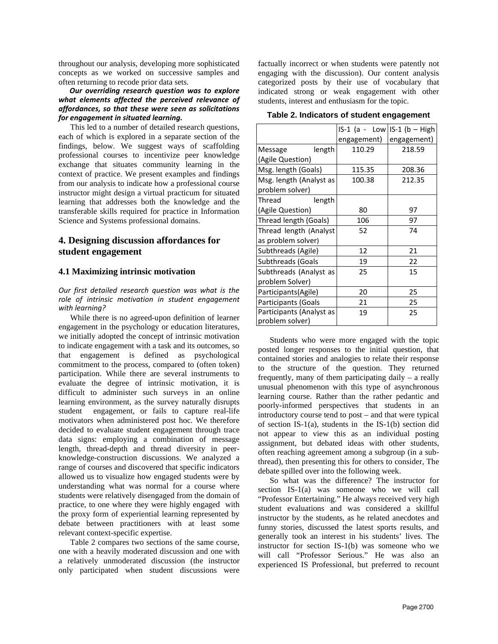throughout our analysis, developing more sophisticated concepts as we worked on successive samples and often returning to recode prior data sets.

### *Our overriding research question was to explore what elements affected the perceived relevance of affordances, so that these were seen as solicitations for engagement in situated learning.*

This led to a number of detailed research questions, each of which is explored in a separate section of the findings, below. We suggest ways of scaffolding professional courses to incentivize peer knowledge exchange that situates community learning in the context of practice. We present examples and findings from our analysis to indicate how a professional course instructor might design a virtual practicum for situated learning that addresses both the knowledge and the transferable skills required for practice in Information Science and Systems professional domains.

## **4. Designing discussion affordances for student engagement**

## **4.1 Maximizing intrinsic motivation**

*Our first detailed research question was what is the role of intrinsic motivation in student engagement with learning?* 

While there is no agreed-upon definition of learner engagement in the psychology or education literatures, we initially adopted the concept of intrinsic motivation to indicate engagement with a task and its outcomes, so that engagement is defined as psychological commitment to the process, compared to (often token) participation. While there are several instruments to evaluate the degree of intrinsic motivation, it is difficult to administer such surveys in an online learning environment, as the survey naturally disrupts student engagement, or fails to capture real-life motivators when administered post hoc. We therefore decided to evaluate student engagement through trace data signs: employing a combination of message length, thread-depth and thread diversity in peerknowledge-construction discussions. We analyzed a range of courses and discovered that specific indicators allowed us to visualize how engaged students were by understanding what was normal for a course where students were relatively disengaged from the domain of practice, to one where they were highly engaged with the proxy form of experiential learning represented by debate between practitioners with at least some relevant context-specific expertise.

Table 2 compares two sections of the same course, one with a heavily moderated discussion and one with a relatively unmoderated discussion (the instructor only participated when student discussions were

factually incorrect or when students were patently not engaging with the discussion). Our content analysis categorized posts by their use of vocabulary that indicated strong or weak engagement with other students, interest and enthusiasm for the topic.

**Table 2. Indicators of student engagement** 

|                                            | $IS-1$ (a - Low IS-1 (b - High |             |
|--------------------------------------------|--------------------------------|-------------|
|                                            | engagement)                    | engagement) |
| length<br>Message                          | 110.29                         | 218.59      |
| (Agile Question)                           |                                |             |
| Msg. length (Goals)                        | 115.35                         | 208.36      |
| Msg. length (Analyst as<br>problem solver) | 100.38                         | 212.35      |
| Thread<br>length                           |                                |             |
| (Agile Question)                           | 80                             | 97          |
| Thread length (Goals)                      | 106                            | 97          |
| Thread length (Analyst                     | 52                             | 74          |
| as problem solver)                         |                                |             |
| Subthreads (Agile)                         | 12                             | 21          |
| Subthreads (Goals                          | 19                             | 22          |
| Subthreads (Analyst as                     | 25                             | 15          |
| problem Solver)                            |                                |             |
| Participants(Agile)                        | 20                             | 25          |
| Participants (Goals                        | 21                             | 25          |
| Participants (Analyst as                   | 19                             | 25          |
| problem solver)                            |                                |             |

Students who were more engaged with the topic posted longer responses to the initial question, that contained stories and analogies to relate their response to the structure of the question. They returned frequently, many of them participating daily – a really unusual phenomenon with this type of asynchronous learning course. Rather than the rather pedantic and poorly-informed perspectives that students in an introductory course tend to post – and that were typical of section IS-1(a), students in the IS-1(b) section did not appear to view this as an individual posting assignment, but debated ideas with other students, often reaching agreement among a subgroup (in a subthread), then presenting this for others to consider, The debate spilled over into the following week.

So what was the difference? The instructor for section IS-1(a) was someone who we will call "Professor Entertaining." He always received very high student evaluations and was considered a skillful instructor by the students, as he related anecdotes and funny stories, discussed the latest sports results, and generally took an interest in his students' lives. The instructor for section IS-1(b) was someone who we will call "Professor Serious." He was also an experienced IS Professional, but preferred to recount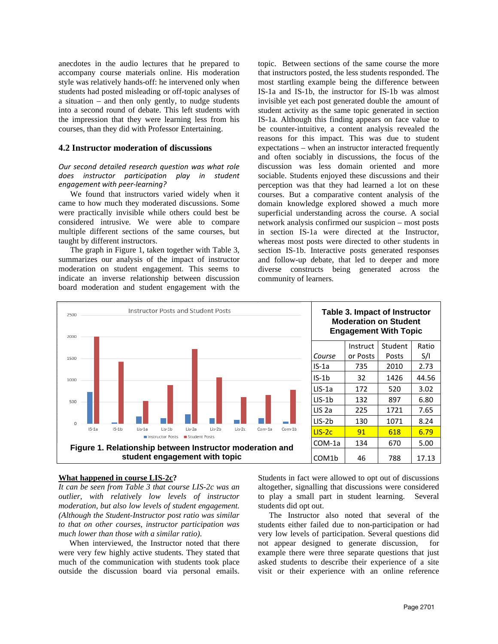anecdotes in the audio lectures that he prepared to accompany course materials online. His moderation style was relatively hands-off: he intervened only when students had posted misleading or off-topic analyses of a situation – and then only gently, to nudge students into a second round of debate. This left students with the impression that they were learning less from his courses, than they did with Professor Entertaining.

### **4.2 Instructor moderation of discussions**

#### *Our second detailed research question was what role does instructor participation play in student engagement with peer-learning?*

We found that instructors varied widely when it came to how much they moderated discussions. Some were practically invisible while others could best be considered intrusive. We were able to compare multiple different sections of the same courses, but taught by different instructors.

The graph in Figure 1, taken together with Table 3, summarizes our analysis of the impact of instructor moderation on student engagement. This seems to indicate an inverse relationship between discussion board moderation and student engagement with the topic. Between sections of the same course the more that instructors posted, the less students responded. The most startling example being the difference between IS-1a and IS-1b, the instructor for IS-1b was almost invisible yet each post generated double the amount of student activity as the same topic generated in section IS-1a. Although this finding appears on face value to be counter-intuitive, a content analysis revealed the reasons for this impact. This was due to student expectations – when an instructor interacted frequently and often sociably in discussions, the focus of the discussion was less domain oriented and more sociable. Students enjoyed these discussions and their perception was that they had learned a lot on these courses. But a comparative content analysis of the domain knowledge explored showed a much more superficial understanding across the course. A social network analysis confirmed our suspicion – most posts in section IS-1a were directed at the Instructor, whereas most posts were directed to other students in section IS-1b. Interactive posts generated responses and follow-up debate, that led to deeper and more diverse constructs being generated across the community of learners.



#### **What happened in course LIS-2c?**

*It can be seen from Table 3 that course LIS-2c was an outlier, with relatively low levels of instructor moderation, but also low levels of student engagement. (Although the Student-Instructor post ratio was similar to that on other courses, instructor participation was much lower than those with a similar ratio).* 

When interviewed, the Instructor noted that there were very few highly active students. They stated that much of the communication with students took place outside the discussion board via personal emails. Students in fact were allowed to opt out of discussions altogether, signalling that discussions were considered to play a small part in student learning. Several students did opt out.

The Instructor also noted that several of the students either failed due to non-participation or had very low levels of participation. Several questions did not appear designed to generate discussion, for example there were three separate questions that just asked students to describe their experience of a site visit or their experience with an online reference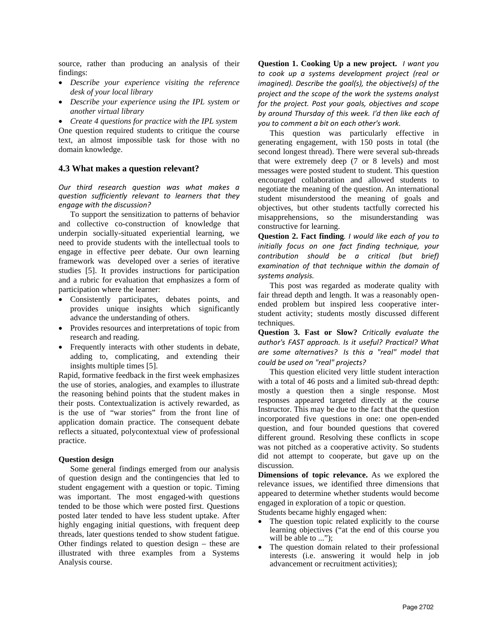source, rather than producing an analysis of their findings:

- *Describe your experience visiting the reference desk of your local library*
- *Describe your experience using the IPL system or another virtual library*

• *Create 4 questions for practice with the IPL system* One question required students to critique the course text, an almost impossible task for those with no domain knowledge.

### **4.3 What makes a question relevant?**

*Our third research question was what makes a question sufficiently relevant to learners that they engage with the discussion?*

To support the sensitization to patterns of behavior and collective co-construction of knowledge that underpin socially-situated experiential learning, we need to provide students with the intellectual tools to engage in effective peer debate. Our own learning framework was developed over a series of iterative studies [5]. It provides instructions for participation and a rubric for evaluation that emphasizes a form of participation where the learner:

- Consistently participates, debates points, and provides unique insights which significantly advance the understanding of others.
- Provides resources and interpretations of topic from research and reading.
- Frequently interacts with other students in debate, adding to, complicating, and extending their insights multiple times [5].

Rapid, formative feedback in the first week emphasizes the use of stories, analogies, and examples to illustrate the reasoning behind points that the student makes in their posts. Contextualization is actively rewarded, as is the use of "war stories" from the front line of application domain practice. The consequent debate reflects a situated, polycontextual view of professional practice.

#### **Question design**

Some general findings emerged from our analysis of question design and the contingencies that led to student engagement with a question or topic. Timing was important. The most engaged-with questions tended to be those which were posted first. Questions posted later tended to have less student uptake. After highly engaging initial questions, with frequent deep threads, later questions tended to show student fatigue. Other findings related to question design – these are illustrated with three examples from a Systems Analysis course.

**Question 1. Cooking Up a new project.** *I want you to cook up a systems development project (real or imagined). Describe the goal(s), the objective(s) of the project and the scope of the work the systems analyst for the project. Post your goals, objectives and scope by around Thursday of this week. I'd then like each of you to comment a bit on each other's work.*

This question was particularly effective in generating engagement, with 150 posts in total (the second longest thread). There were several sub-threads that were extremely deep (7 or 8 levels) and most messages were posted student to student. This question encouraged collaboration and allowed students to negotiate the meaning of the question. An international student misunderstood the meaning of goals and objectives, but other students tactfully corrected his misapprehensions, so the misunderstanding was constructive for learning.

**Question 2. Fact finding***. I would like each of you to initially focus on one fact finding technique, your contribution should be a critical (but brief) examination of that technique within the domain of systems analysis.*

This post was regarded as moderate quality with fair thread depth and length. It was a reasonably openended problem but inspired less cooperative interstudent activity; students mostly discussed different techniques.

**Question 3. Fast or Slow?** *Critically evaluate the author's FAST approach. Is it useful? Practical? What are some alternatives? Is this a "real" model that could be used on "real" projects?*

This question elicited very little student interaction with a total of 46 posts and a limited sub-thread depth: mostly a question then a single response. Most responses appeared targeted directly at the course Instructor. This may be due to the fact that the question incorporated five questions in one: one open-ended question, and four bounded questions that covered different ground. Resolving these conflicts in scope was not pitched a*s* a cooperative activity. So students did not attempt to cooperate, but gave up on the discussion.

**Dimensions of topic relevance.** As we explored the relevance issues, we identified three dimensions that appeared to determine whether students would become engaged in exploration of a topic or question.

Students became highly engaged when:

- The question topic related explicitly to the course learning objectives ("at the end of this course you will be able to ...");
- The question domain related to their professional interests (i.e. answering it would help in job advancement or recruitment activities);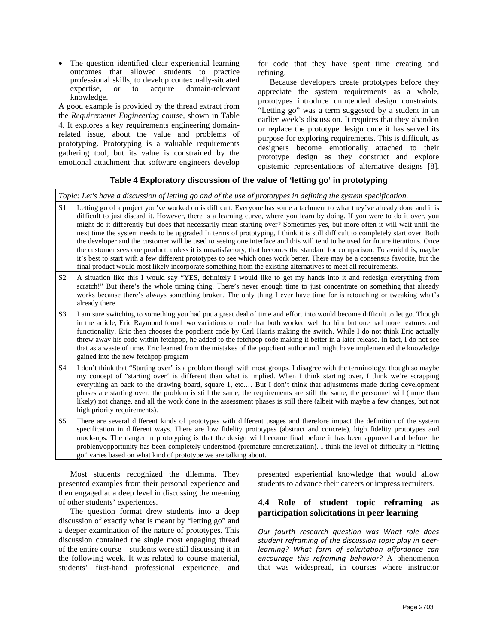• The question identified clear experiential learning outcomes that allowed students to practice professional skills, to develop contextually-situated<br>expertise, or to acquire domain-relevant expertise, or to acquire domain-relevant knowledge.

A good example is provided by the thread extract from the *Requirements Engineering* course, shown in Table 4. It explores a key requirements engineering domainrelated issue, about the value and problems of prototyping. Prototyping is a valuable requirements gathering tool, but its value is constrained by the emotional attachment that software engineers develop

for code that they have spent time creating and refining.

Because developers create prototypes before they appreciate the system requirements as a whole, prototypes introduce unintended design constraints. "Letting go" was a term suggested by a student in an earlier week's discussion. It requires that they abandon or replace the prototype design once it has served its purpose for exploring requirements. This is difficult, as designers become emotionally attached to their prototype design as they construct and explore epistemic representations of alternative designs [8].

## **Table 4 Exploratory discussion of the value of 'letting go' in prototyping**

*Topic: Let's have a discussion of letting go and of the use of prototypes in defining the system specification.* 

| $\rm S1$       | Letting go of a project you've worked on is difficult. Everyone has some attachment to what they've already done and it is<br>difficult to just discard it. However, there is a learning curve, where you learn by doing. If you were to do it over, you<br>might do it differently but does that necessarily mean starting over? Sometimes yes, but more often it will wait until the<br>next time the system needs to be upgraded In terms of prototyping, I think it is still difficult to completely start over. Both<br>the developer and the customer will be used to seeing one interface and this will tend to be used for future iterations. Once<br>the customer sees one product, unless it is unsatisfactory, that becomes the standard for comparison. To avoid this, maybe<br>it's best to start with a few different prototypes to see which ones work better. There may be a consensus favorite, but the<br>final product would most likely incorporate something from the existing alternatives to meet all requirements. |
|----------------|--------------------------------------------------------------------------------------------------------------------------------------------------------------------------------------------------------------------------------------------------------------------------------------------------------------------------------------------------------------------------------------------------------------------------------------------------------------------------------------------------------------------------------------------------------------------------------------------------------------------------------------------------------------------------------------------------------------------------------------------------------------------------------------------------------------------------------------------------------------------------------------------------------------------------------------------------------------------------------------------------------------------------------------------|
| S <sub>2</sub> | A situation like this I would say "YES, definitely I would like to get my hands into it and redesign everything from<br>scratch!" But there's the whole timing thing. There's never enough time to just concentrate on something that already<br>works because there's always something broken. The only thing I ever have time for is retouching or tweaking what's<br>already there                                                                                                                                                                                                                                                                                                                                                                                                                                                                                                                                                                                                                                                      |
| S <sub>3</sub> | I am sure switching to something you had put a great deal of time and effort into would become difficult to let go. Though<br>in the article, Eric Raymond found two variations of code that both worked well for him but one had more features and<br>functionality. Eric then chooses the popclient code by Carl Harris making the switch. While I do not think Eric actually<br>threw away his code within fetchpop, he added to the fetchpop code making it better in a later release. In fact, I do not see<br>that as a waste of time. Eric learned from the mistakes of the popclient author and might have implemented the knowledge<br>gained into the new fetchpop program                                                                                                                                                                                                                                                                                                                                                       |
| S <sub>4</sub> | I don't think that "Starting over" is a problem though with most groups. I disagree with the terminology, though so maybe<br>my concept of "starting over" is different than what is implied. When I think starting over, I think we're scrapping<br>everything an back to the drawing board, square 1, etc But I don't think that adjustments made during development<br>phases are starting over: the problem is still the same, the requirements are still the same, the personnel will (more than<br>likely) not change, and all the work done in the assessment phases is still there (albeit with maybe a few changes, but not<br>high priority requirements).                                                                                                                                                                                                                                                                                                                                                                       |
| S <sub>5</sub> | There are several different kinds of prototypes with different usages and therefore impact the definition of the system<br>specification in different ways. There are low fidelity prototypes (abstract and concrete), high fidelity prototypes and<br>mock-ups. The danger in prototyping is that the design will become final before it has been approved and before the<br>problem/opportunity has been completely understood (premature concretization). I think the level of difficulty in "letting<br>go" varies based on what kind of prototype we are talking about.                                                                                                                                                                                                                                                                                                                                                                                                                                                               |

Most students recognized the dilemma. They presented examples from their personal experience and then engaged at a deep level in discussing the meaning of other students' experiences.

The question format drew students into a deep discussion of exactly what is meant by "letting go" and a deeper examination of the nature of prototypes. This discussion contained the single most engaging thread of the entire course – students were still discussing it in the following week. It was related to course material, students' first-hand professional experience, and

presented experiential knowledge that would allow students to advance their careers or impress recruiters.

## **4.4 Role of student topic reframing as participation solicitations in peer learning**

*Our fourth research question was What role does student reframing of the discussion topic play in peerlearning? What form of solicitation affordance can encourage this reframing behavior?* A phenomenon that was widespread, in courses where instructor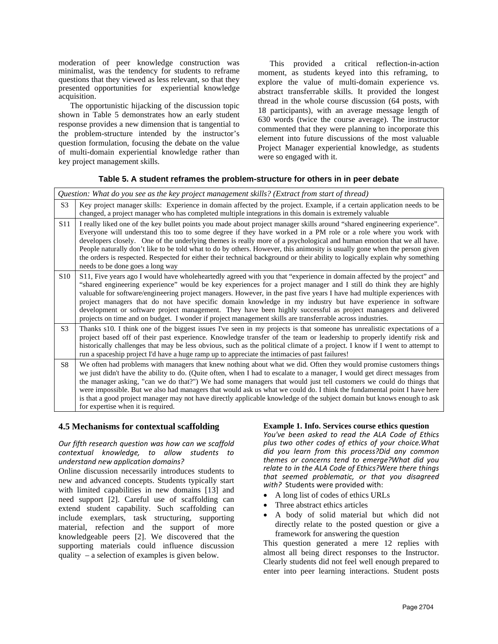moderation of peer knowledge construction was minimalist, was the tendency for students to reframe questions that they viewed as less relevant, so that they presented opportunities for experiential knowledge acquisition.

The opportunistic hijacking of the discussion topic shown in Table 5 demonstrates how an early student response provides a new dimension that is tangential to the problem-structure intended by the instructor's question formulation, focusing the debate on the value of multi-domain experiential knowledge rather than key project management skills.

This provided a critical reflection-in-action moment, as students keyed into this reframing, to explore the value of multi-domain experience vs. abstract transferrable skills. It provided the longest thread in the whole course discussion (64 posts, with 18 participants), with an average message length of 630 words (twice the course average). The instructor commented that they were planning to incorporate this element into future discussions of the most valuable Project Manager experiential knowledge, as students were so engaged with it.

### **Table 5. A student reframes the problem-structure for others in in peer debate**

|                 | Question: What do you see as the key project management skills? (Extract from start of thread)                                                                                                                                                                                                                                                                                                                                                                                                                                                                                                                                                                                                                           |
|-----------------|--------------------------------------------------------------------------------------------------------------------------------------------------------------------------------------------------------------------------------------------------------------------------------------------------------------------------------------------------------------------------------------------------------------------------------------------------------------------------------------------------------------------------------------------------------------------------------------------------------------------------------------------------------------------------------------------------------------------------|
| S <sub>3</sub>  | Key project manager skills: Experience in domain affected by the project. Example, if a certain application needs to be<br>changed, a project manager who has completed multiple integrations in this domain is extremely valuable                                                                                                                                                                                                                                                                                                                                                                                                                                                                                       |
| S <sub>11</sub> | I really liked one of the key bullet points you made about project manager skills around "shared engineering experience".<br>Everyone will understand this too to some degree if they have worked in a PM role or a role where you work with<br>developers closely. One of the underlying themes is really more of a psychological and human emotion that we all have.<br>People naturally don't like to be told what to do by others. However, this animosity is usually gone when the person given<br>the orders is respected. Respected for either their technical background or their ability to logically explain why something<br>needs to be done goes a long way                                                 |
| S <sub>10</sub> | S11, Five years ago I would have wholeheartedly agreed with you that "experience in domain affected by the project" and<br>"shared engineering experience" would be key experiences for a project manager and I still do think they are highly<br>valuable for software/engineering project managers. However, in the past five years I have had multiple experiences with<br>project managers that do not have specific domain knowledge in my industry but have experience in software<br>development or software project management. They have been highly successful as project managers and delivered<br>projects on time and on budget. I wonder if project management skills are transferrable across industries. |
| S <sub>3</sub>  | Thanks s10. I think one of the biggest issues I've seen in my projects is that someone has unrealistic expectations of a<br>project based off of their past experience. Knowledge transfer of the team or leadership to properly identify risk and<br>historically challenges that may be less obvious, such as the political climate of a project. I know if I went to attempt to<br>run a spaceship project I'd have a huge ramp up to appreciate the intimacies of past failures!                                                                                                                                                                                                                                     |
| S8              | We often had problems with managers that knew nothing about what we did. Often they would promise customers things<br>we just didn't have the ability to do. (Quite often, when I had to escalate to a manager, I would get direct messages from<br>the manager asking, "can we do that?") We had some managers that would just tell customers we could do things that<br>were impossible. But we also had managers that would ask us what we could do. I think the fundamental point I have here<br>is that a good project manager may not have directly applicable knowledge of the subject domain but knows enough to ask<br>for expertise when it is required.                                                       |

#### **4.5 Mechanisms for contextual scaffolding**

#### *Our fifth research question was how can we scaffold contextual knowledge, to allow students to understand new application domains?*

Online discussion necessarily introduces students to new and advanced concepts. Students typically start with limited capabilities in new domains [13] and need support [2]. Careful use of scaffolding can extend student capability. Such scaffolding can include exemplars, task structuring, supporting material, refection and the support of more knowledgeable peers [2]. We discovered that the supporting materials could influence discussion quality – a selection of examples is given below.

#### **Example 1. Info. Services course ethics question**

*You've been asked to read the ALA Code of Ethics plus two other codes of ethics of your choice.What did you learn from this process?Did any common themes or concerns tend to emerge?What did you relate to in the ALA Code of Ethics?Were there things that seemed problematic, or that you disagreed with?* Students were provided with:

- A long list of codes of ethics URLs
- Three abstract ethics articles
- A body of solid material but which did not directly relate to the posted question or give a framework for answering the question

This question generated a mere 12 replies with almost all being direct responses to the Instructor. Clearly students did not feel well enough prepared to enter into peer learning interactions. Student posts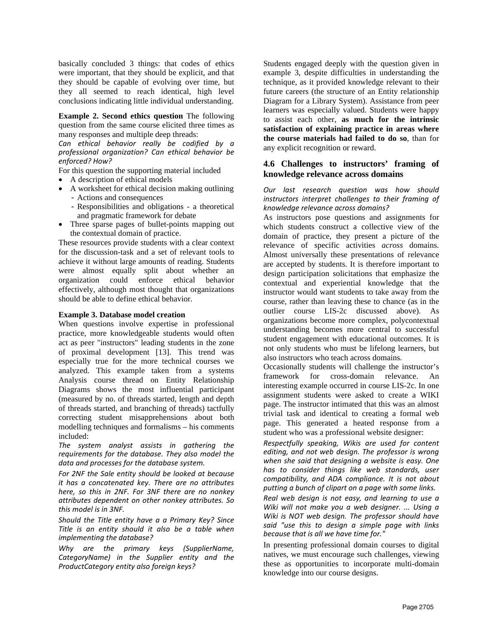basically concluded 3 things: that codes of ethics were important, that they should be explicit, and that they should be capable of evolving over time, but they all seemed to reach identical, high level conclusions indicating little individual understanding.

**Example 2. Second ethics question** The following question from the same course elicited three times as many responses and multiple deep threads:

*Can ethical behavior really be codified by a professional organization? Can ethical behavior be enforced? How?*

For this question the supporting material included

- A description of ethical models
- A worksheet for ethical decision making outlining - Actions and consequences
	- Responsibilities and obligations a theoretical and pragmatic framework for debate
- Three sparse pages of bullet-points mapping out the contextual domain of practice.

These resources provide students with a clear context for the discussion-task and a set of relevant tools to achieve it without large amounts of reading. Students were almost equally split about whether an organization could enforce ethical behavior effectively, although most thought that organizations should be able to define ethical behavior.

#### **Example 3. Database model creation**

When questions involve expertise in professional practice, more knowledgeable students would often act as peer "instructors" leading students in the zone of proximal development [13]. This trend was especially true for the more technical courses we analyzed. This example taken from a systems Analysis course thread on Entity Relationship Diagrams shows the most influential participant (measured by no. of threads started, length and depth of threads started, and branching of threads) tactfully correcting student misapprehensions about both modelling techniques and formalisms – his comments included:

*The system analyst assists in gathering the requirements for the database. They also model the data and processes for the database system.*

*For 2NF the Sale entity should be looked at because it has a concatenated key. There are no attributes here, so this in 2NF. For 3NF there are no nonkey attributes dependent on other nonkey attributes. So this model is in 3NF.*

*Should the Title entity have a a Primary Key? Since Title is an entity should it also be a table when implementing the database?*

*Why are the primary keys (SupplierName, CategoryName) in the Supplier entity and the ProductCategory entity also foreign keys?*

Students engaged deeply with the question given in example 3, despite difficulties in understanding the technique, as it provided knowledge relevant to their future careers (the structure of an Entity relationship Diagram for a Library System). Assistance from peer learners was especially valued. Students were happy to assist each other, **as much for the intrinsic satisfaction of explaining practice in areas where the course materials had failed to do so**, than for any explicit recognition or reward.

## **4.6 Challenges to instructors' framing of knowledge relevance across domains**

### *Our last research question was how should instructors interpret challenges to their framing of knowledge relevance across domains?*

As instructors pose questions and assignments for which students construct a collective view of the domain of practice, they present a picture of the relevance of specific activities *across* domains. Almost universally these presentations of relevance are accepted by students. It is therefore important to design participation solicitations that emphasize the contextual and experiential knowledge that the instructor would want students to take away from the course, rather than leaving these to chance (as in the outlier course LIS-2c discussed above). As organizations become more complex, polycontextual understanding becomes more central to successful student engagement with educational outcomes. It is not only students who must be lifelong learners, but also instructors who teach across domains.

Occasionally students will challenge the instructor's framework for cross-domain relevance. An interesting example occurred in course LIS-2c. In one assignment students were asked to create a WIKI page. The instructor intimated that this was an almost trivial task and identical to creating a formal web page. This generated a heated response from a student who was a professional website designer:

*Respectfully speaking, Wikis are used for content editing, and not web design. The professor is wrong when she said that designing a website is easy. One has to consider things like web standards, user compatibility, and ADA compliance. It is not about putting a bunch of clipart on a page with some links.*

*Real web design is not easy, and learning to use a Wiki will not make you a web designer. ... Using a Wiki is NOT web design. The professor should have said "use this to design a simple page with links because that is all we have time for."*

In presenting professional domain courses to digital natives, we must encourage such challenges, viewing these as opportunities to incorporate multi-domain knowledge into our course designs.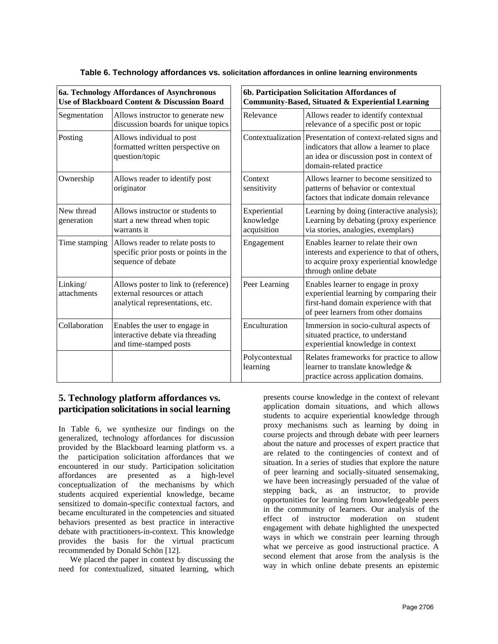| 6a. Technology Affordances of Asynchronous<br>Use of Blackboard Content & Discussion Board |                                                                                                          | 6b. Participation Solicitation Affordances of<br>Community-Based, Situated & Experiential Learning |                                                                                                                                                                 |  |
|--------------------------------------------------------------------------------------------|----------------------------------------------------------------------------------------------------------|----------------------------------------------------------------------------------------------------|-----------------------------------------------------------------------------------------------------------------------------------------------------------------|--|
| Segmentation                                                                               | Allows instructor to generate new<br>discussion boards for unique topics                                 | Relevance                                                                                          | Allows reader to identify contextual<br>relevance of a specific post or topic                                                                                   |  |
| Posting                                                                                    | Allows individual to post<br>formatted written perspective on<br>question/topic                          | Contextualization                                                                                  | Presentation of context-related signs and<br>indicators that allow a learner to place<br>an idea or discussion post in context of<br>domain-related practice    |  |
| Ownership                                                                                  | Allows reader to identify post<br>originator                                                             | Context<br>sensitivity                                                                             | Allows learner to become sensitized to<br>patterns of behavior or contextual<br>factors that indicate domain relevance                                          |  |
| New thread<br>generation                                                                   | Allows instructor or students to<br>start a new thread when topic<br>warrants it                         | Experiential<br>knowledge<br>acquisition                                                           | Learning by doing (interactive analysis);<br>Learning by debating (proxy experience<br>via stories, analogies, exemplars)                                       |  |
| Time stamping                                                                              | Allows reader to relate posts to<br>specific prior posts or points in the<br>sequence of debate          | Engagement                                                                                         | Enables learner to relate their own<br>interests and experience to that of others,<br>to acquire proxy experiential knowledge<br>through online debate          |  |
| Linking/<br>attachments                                                                    | Allows poster to link to (reference)<br>external resources or attach<br>analytical representations, etc. | Peer Learning                                                                                      | Enables learner to engage in proxy<br>experiential learning by comparing their<br>first-hand domain experience with that<br>of peer learners from other domains |  |
| Collaboration                                                                              | Enables the user to engage in<br>interactive debate via threading<br>and time-stamped posts              | Enculturation                                                                                      | Immersion in socio-cultural aspects of<br>situated practice, to understand<br>experiential knowledge in context                                                 |  |
|                                                                                            |                                                                                                          | Polycontextual<br>learning                                                                         | Relates frameworks for practice to allow<br>learner to translate knowledge &<br>practice across application domains.                                            |  |

### **Table 6. Technology affordances vs. solicitation affordances in online learning environments**

## **5. Technology platform affordances vs. participation solicitationsin social learning**

In Table 6, we synthesize our findings on the generalized, technology affordances for discussion provided by the Blackboard learning platform vs. a the participation solicitation affordances that we encountered in our study. Participation solicitation affordances are presented as a high-level conceptualization of the mechanisms by which students acquired experiential knowledge, became sensitized to domain-specific contextual factors, and became enculturated in the competencies and situated behaviors presented as best practice in interactive debate with practitioners-in-context. This knowledge provides the basis for the virtual practicum recommended by Donald Schön [12].

We placed the paper in context by discussing the need for contextualized, situated learning, which

presents course knowledge in the context of relevant application domain situations, and which allows students to acquire experiential knowledge through proxy mechanisms such as learning by doing in course projects and through debate with peer learners about the nature and processes of expert practice that are related to the contingencies of context and of situation. In a series of studies that explore the nature of peer learning and socially-situated sensemaking, we have been increasingly persuaded of the value of stepping back, as an instructor, to provide opportunities for learning from knowledgeable peers in the community of learners. Our analysis of the effect of instructor moderation on student engagement with debate highlighted the unexpected ways in which we constrain peer learning through what we perceive as good instructional practice. A second element that arose from the analysis is the way in which online debate presents an epistemic